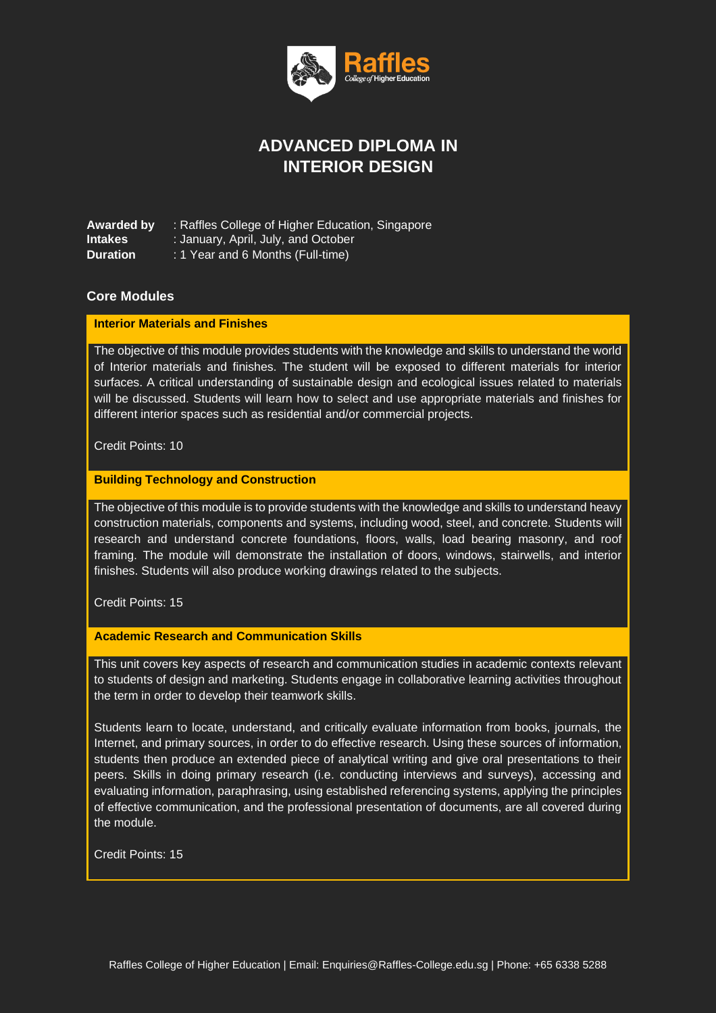

# **ADVANCED DIPLOMA IN INTERIOR DESIGN**

**Awarded by** : Raffles College of Higher Education, Singapore **Intakes** : January, April, July, and October **Duration** : 1 Year and 6 Months (Full-time)

# **Core Modules**

## **Interior Materials and Finishes**

The objective of this module provides students with the knowledge and skills to understand the world of Interior materials and finishes. The student will be exposed to different materials for interior surfaces. A critical understanding of sustainable design and ecological issues related to materials will be discussed. Students will learn how to select and use appropriate materials and finishes for different interior spaces such as residential and/or commercial projects.

Credit Points: 10

### **Building Technology and Construction**

The objective of this module is to provide students with the knowledge and skills to understand heavy construction materials, components and systems, including wood, steel, and concrete. Students will research and understand concrete foundations, floors, walls, load bearing masonry, and roof framing. The module will demonstrate the installation of doors, windows, stairwells, and interior finishes. Students will also produce working drawings related to the subjects.

Credit Points: 15

### **Academic Research and Communication Skills**

This unit covers key aspects of research and communication studies in academic contexts relevant to students of design and marketing. Students engage in collaborative learning activities throughout the term in order to develop their teamwork skills.

Students learn to locate, understand, and critically evaluate information from books, journals, the Internet, and primary sources, in order to do effective research. Using these sources of information, students then produce an extended piece of analytical writing and give oral presentations to their peers. Skills in doing primary research (i.e. conducting interviews and surveys), accessing and evaluating information, paraphrasing, using established referencing systems, applying the principles of effective communication, and the professional presentation of documents, are all covered during the module.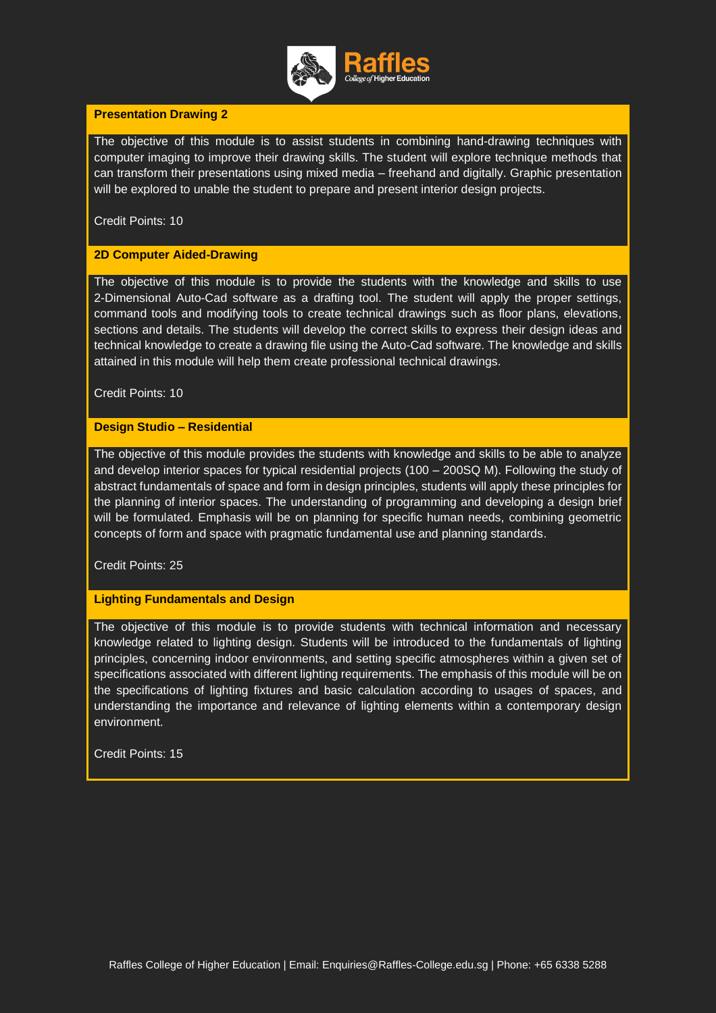

# **Presentation Drawing 2**

The objective of this module is to assist students in combining hand-drawing techniques with computer imaging to improve their drawing skills. The student will explore technique methods that can transform their presentations using mixed media – freehand and digitally. Graphic presentation will be explored to unable the student to prepare and present interior design projects.

Credit Points: 10

## **2D Computer Aided-Drawing**

The objective of this module is to provide the students with the knowledge and skills to use 2-Dimensional Auto-Cad software as a drafting tool. The student will apply the proper settings, command tools and modifying tools to create technical drawings such as floor plans, elevations, sections and details. The students will develop the correct skills to express their design ideas and technical knowledge to create a drawing file using the Auto-Cad software. The knowledge and skills attained in this module will help them create professional technical drawings.

Credit Points: 10

## **Design Studio – Residential**

The objective of this module provides the students with knowledge and skills to be able to analyze and develop interior spaces for typical residential projects (100 – 200SQ M). Following the study of abstract fundamentals of space and form in design principles, students will apply these principles for the planning of interior spaces. The understanding of programming and developing a design brief will be formulated. Emphasis will be on planning for specific human needs, combining geometric concepts of form and space with pragmatic fundamental use and planning standards.

Credit Points: 25

### **Lighting Fundamentals and Design**

The objective of this module is to provide students with technical information and necessary knowledge related to lighting design. Students will be introduced to the fundamentals of lighting principles, concerning indoor environments, and setting specific atmospheres within a given set of specifications associated with different lighting requirements. The emphasis of this module will be on the specifications of lighting fixtures and basic calculation according to usages of spaces, and understanding the importance and relevance of lighting elements within a contemporary design environment.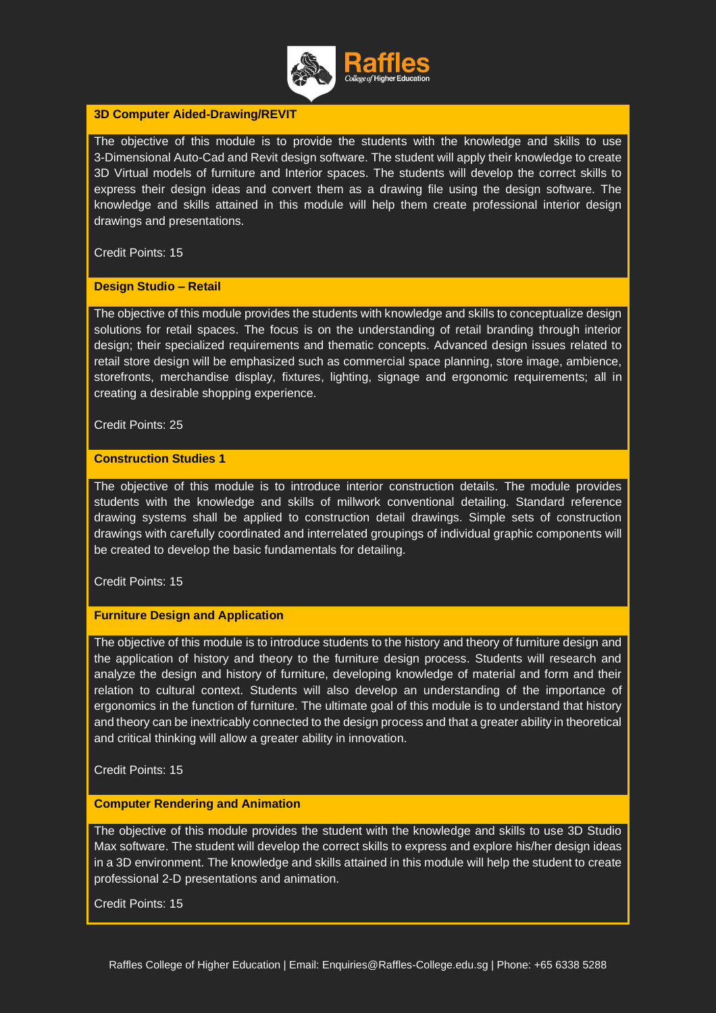

## **3D Computer Aided-Drawing/REVIT**

The objective of this module is to provide the students with the knowledge and skills to use 3-Dimensional Auto-Cad and Revit design software. The student will apply their knowledge to create 3D Virtual models of furniture and Interior spaces. The students will develop the correct skills to express their design ideas and convert them as a drawing file using the design software. The knowledge and skills attained in this module will help them create professional interior design drawings and presentations.

Credit Points: 15

## **Design Studio – Retail**

The objective of this module provides the students with knowledge and skills to conceptualize design solutions for retail spaces. The focus is on the understanding of retail branding through interior design; their specialized requirements and thematic concepts. Advanced design issues related to retail store design will be emphasized such as commercial space planning, store image, ambience, storefronts, merchandise display, fixtures, lighting, signage and ergonomic requirements; all in creating a desirable shopping experience.

Credit Points: 25

### **Construction Studies 1**

The objective of this module is to introduce interior construction details. The module provides students with the knowledge and skills of millwork conventional detailing. Standard reference drawing systems shall be applied to construction detail drawings. Simple sets of construction drawings with carefully coordinated and interrelated groupings of individual graphic components will be created to develop the basic fundamentals for detailing.

Credit Points: 15

# **Furniture Design and Application**

The objective of this module is to introduce students to the history and theory of furniture design and the application of history and theory to the furniture design process. Students will research and analyze the design and history of furniture, developing knowledge of material and form and their relation to cultural context. Students will also develop an understanding of the importance of ergonomics in the function of furniture. The ultimate goal of this module is to understand that history and theory can be inextricably connected to the design process and that a greater ability in theoretical and critical thinking will allow a greater ability in innovation.

Credit Points: 15

### **Computer Rendering and Animation**

The objective of this module provides the student with the knowledge and skills to use 3D Studio Max software. The student will develop the correct skills to express and explore his/her design ideas in a 3D environment. The knowledge and skills attained in this module will help the student to create professional 2-D presentations and animation.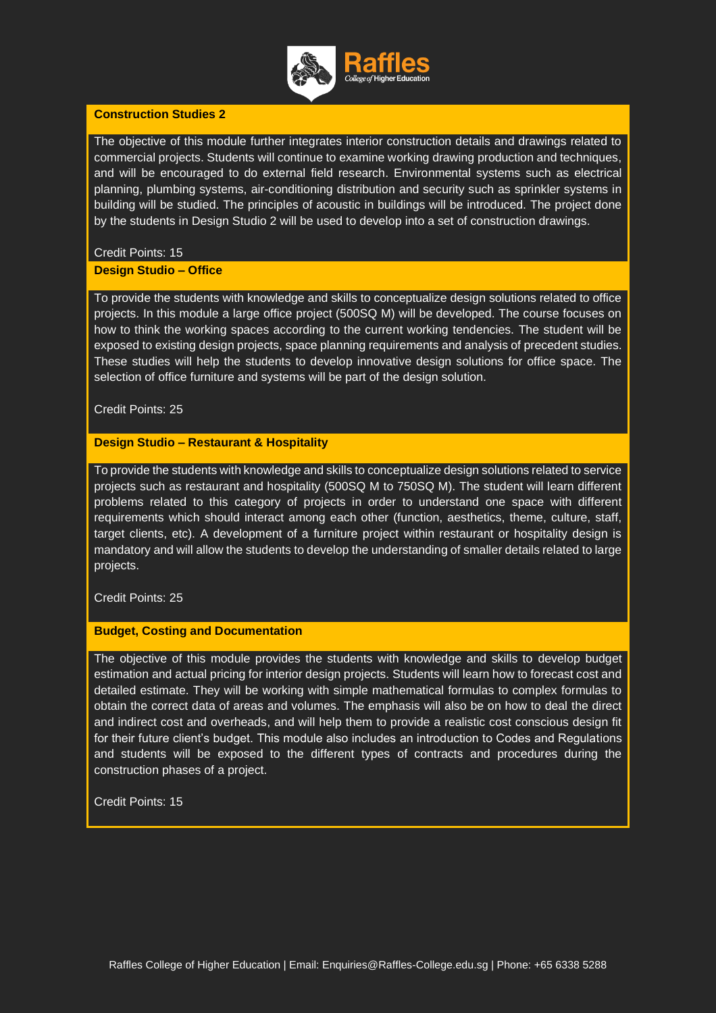

## **Construction Studies 2**

The objective of this module further integrates interior construction details and drawings related to commercial projects. Students will continue to examine working drawing production and techniques, and will be encouraged to do external field research. Environmental systems such as electrical planning, plumbing systems, air-conditioning distribution and security such as sprinkler systems in building will be studied. The principles of acoustic in buildings will be introduced. The project done by the students in Design Studio 2 will be used to develop into a set of construction drawings.

## Credit Points: 15

### **Design Studio – Office**

To provide the students with knowledge and skills to conceptualize design solutions related to office projects. In this module a large office project (500SQ M) will be developed. The course focuses on how to think the working spaces according to the current working tendencies. The student will be exposed to existing design projects, space planning requirements and analysis of precedent studies. These studies will help the students to develop innovative design solutions for office space. The selection of office furniture and systems will be part of the design solution.

Credit Points: 25

# **Design Studio – Restaurant & Hospitality**

To provide the students with knowledge and skills to conceptualize design solutions related to service projects such as restaurant and hospitality (500SQ M to 750SQ M). The student will learn different problems related to this category of projects in order to understand one space with different requirements which should interact among each other (function, aesthetics, theme, culture, staff, target clients, etc). A development of a furniture project within restaurant or hospitality design is mandatory and will allow the students to develop the understanding of smaller details related to large projects.

# Credit Points: 25

### **Budget, Costing and Documentation**

The objective of this module provides the students with knowledge and skills to develop budget estimation and actual pricing for interior design projects. Students will learn how to forecast cost and detailed estimate. They will be working with simple mathematical formulas to complex formulas to obtain the correct data of areas and volumes. The emphasis will also be on how to deal the direct and indirect cost and overheads, and will help them to provide a realistic cost conscious design fit for their future client's budget. This module also includes an introduction to Codes and Regulations and students will be exposed to the different types of contracts and procedures during the construction phases of a project.